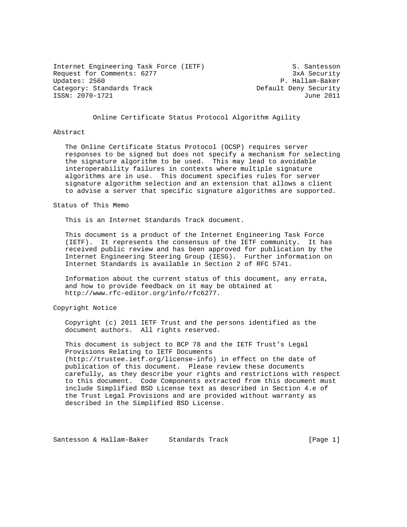Internet Engineering Task Force (IETF) S. Santesson Request for Comments: 6277 3xA Security<br>Updates: 2560 3xA Security Category: Standards Track density Default Deny Security ISSN: 2070-1721 June 2011

P. Hallam-Baker

# Online Certificate Status Protocol Algorithm Agility

### Abstract

 The Online Certificate Status Protocol (OCSP) requires server responses to be signed but does not specify a mechanism for selecting the signature algorithm to be used. This may lead to avoidable interoperability failures in contexts where multiple signature algorithms are in use. This document specifies rules for server signature algorithm selection and an extension that allows a client to advise a server that specific signature algorithms are supported.

### Status of This Memo

This is an Internet Standards Track document.

 This document is a product of the Internet Engineering Task Force (IETF). It represents the consensus of the IETF community. It has received public review and has been approved for publication by the Internet Engineering Steering Group (IESG). Further information on Internet Standards is available in Section 2 of RFC 5741.

 Information about the current status of this document, any errata, and how to provide feedback on it may be obtained at http://www.rfc-editor.org/info/rfc6277.

# Copyright Notice

 Copyright (c) 2011 IETF Trust and the persons identified as the document authors. All rights reserved.

 This document is subject to BCP 78 and the IETF Trust's Legal Provisions Relating to IETF Documents (http://trustee.ietf.org/license-info) in effect on the date of publication of this document. Please review these documents carefully, as they describe your rights and restrictions with respect to this document. Code Components extracted from this document must include Simplified BSD License text as described in Section 4.e of the Trust Legal Provisions and are provided without warranty as described in the Simplified BSD License.

Santesson & Hallam-Baker Standards Track [Page 1]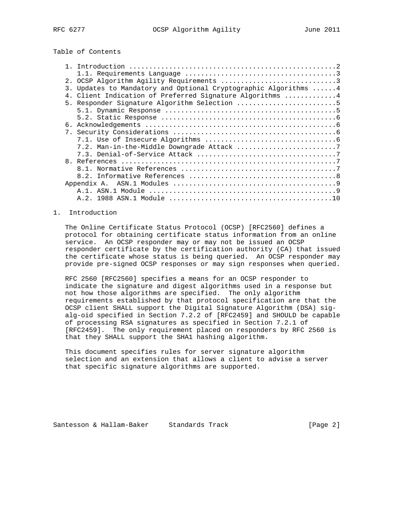# Table of Contents

|                | 2. OCSP Algorithm Agility Requirements 3                      |
|----------------|---------------------------------------------------------------|
| 3.             | Updates to Mandatory and Optional Cryptographic Algorithms  4 |
|                | Client Indication of Preferred Signature Algorithms 4         |
|                | 5. Responder Signature Algorithm Selection 5                  |
|                |                                                               |
|                |                                                               |
| б.             |                                                               |
| $7_{\odot}$    |                                                               |
|                |                                                               |
|                | 7.2. Man-in-the-Middle Downgrade Attack 7                     |
|                |                                                               |
| 8 <sub>1</sub> |                                                               |
|                |                                                               |
|                |                                                               |
|                | Appendix A.                                                   |
|                |                                                               |
|                |                                                               |

# 1. Introduction

 The Online Certificate Status Protocol (OCSP) [RFC2560] defines a protocol for obtaining certificate status information from an online service. An OCSP responder may or may not be issued an OCSP responder certificate by the certification authority (CA) that issued the certificate whose status is being queried. An OCSP responder may provide pre-signed OCSP responses or may sign responses when queried.

 RFC 2560 [RFC2560] specifies a means for an OCSP responder to indicate the signature and digest algorithms used in a response but not how those algorithms are specified. The only algorithm requirements established by that protocol specification are that the OCSP client SHALL support the Digital Signature Algorithm (DSA) sig alg-oid specified in Section 7.2.2 of [RFC2459] and SHOULD be capable of processing RSA signatures as specified in Section 7.2.1 of [RFC2459]. The only requirement placed on responders by RFC 2560 is that they SHALL support the SHA1 hashing algorithm.

 This document specifies rules for server signature algorithm selection and an extension that allows a client to advise a server that specific signature algorithms are supported.

Santesson & Hallam-Baker Standards Track [Page 2]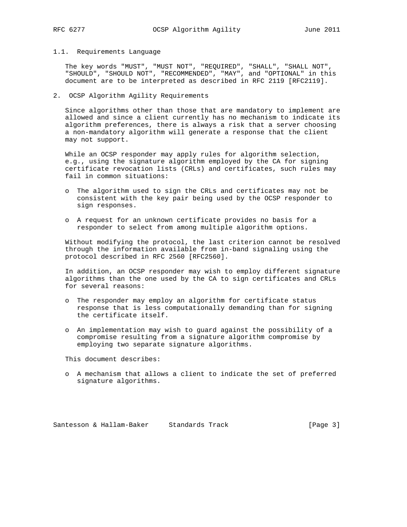### 1.1. Requirements Language

 The key words "MUST", "MUST NOT", "REQUIRED", "SHALL", "SHALL NOT", "SHOULD", "SHOULD NOT", "RECOMMENDED", "MAY", and "OPTIONAL" in this document are to be interpreted as described in RFC 2119 [RFC2119].

# 2. OCSP Algorithm Agility Requirements

 Since algorithms other than those that are mandatory to implement are allowed and since a client currently has no mechanism to indicate its algorithm preferences, there is always a risk that a server choosing a non-mandatory algorithm will generate a response that the client may not support.

 While an OCSP responder may apply rules for algorithm selection, e.g., using the signature algorithm employed by the CA for signing certificate revocation lists (CRLs) and certificates, such rules may fail in common situations:

- o The algorithm used to sign the CRLs and certificates may not be consistent with the key pair being used by the OCSP responder to sign responses.
- o A request for an unknown certificate provides no basis for a responder to select from among multiple algorithm options.

 Without modifying the protocol, the last criterion cannot be resolved through the information available from in-band signaling using the protocol described in RFC 2560 [RFC2560].

 In addition, an OCSP responder may wish to employ different signature algorithms than the one used by the CA to sign certificates and CRLs for several reasons:

- o The responder may employ an algorithm for certificate status response that is less computationally demanding than for signing the certificate itself.
- o An implementation may wish to guard against the possibility of a compromise resulting from a signature algorithm compromise by employing two separate signature algorithms.

This document describes:

 o A mechanism that allows a client to indicate the set of preferred signature algorithms.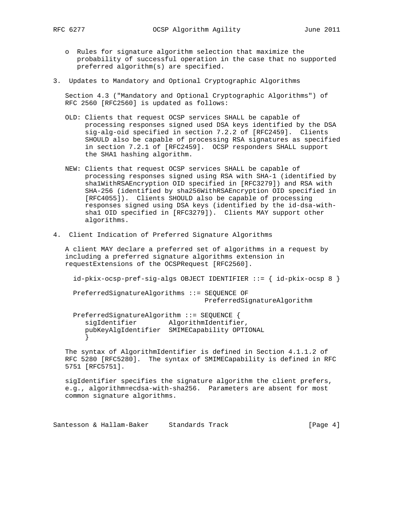- o Rules for signature algorithm selection that maximize the probability of successful operation in the case that no supported preferred algorithm(s) are specified.
- 3. Updates to Mandatory and Optional Cryptographic Algorithms

 Section 4.3 ("Mandatory and Optional Cryptographic Algorithms") of RFC 2560 [RFC2560] is updated as follows:

- OLD: Clients that request OCSP services SHALL be capable of processing responses signed used DSA keys identified by the DSA sig-alg-oid specified in section 7.2.2 of [RFC2459]. Clients SHOULD also be capable of processing RSA signatures as specified in section 7.2.1 of [RFC2459]. OCSP responders SHALL support the SHA1 hashing algorithm.
- NEW: Clients that request OCSP services SHALL be capable of processing responses signed using RSA with SHA-1 (identified by sha1WithRSAEncryption OID specified in [RFC3279]) and RSA with SHA-256 (identified by sha256WithRSAEncryption OID specified in [RFC4055]). Clients SHOULD also be capable of processing responses signed using DSA keys (identified by the id-dsa-with sha1 OID specified in [RFC3279]). Clients MAY support other algorithms.
- 4. Client Indication of Preferred Signature Algorithms

 A client MAY declare a preferred set of algorithms in a request by including a preferred signature algorithms extension in requestExtensions of the OCSPRequest [RFC2560].

id-pkix-ocsp-pref-sig-algs OBJECT IDENTIFIER ::= { id-pkix-ocsp 8 }

 PreferredSignatureAlgorithms ::= SEQUENCE OF PreferredSignatureAlgorithm

 PreferredSignatureAlgorithm ::= SEQUENCE { sigIdentifier AlgorithmIdentifier, pubKeyAlgIdentifier SMIMECapability OPTIONAL }

 The syntax of AlgorithmIdentifier is defined in Section 4.1.1.2 of RFC 5280 [RFC5280]. The syntax of SMIMECapability is defined in RFC 5751 [RFC5751].

 sigIdentifier specifies the signature algorithm the client prefers, e.g., algorithm=ecdsa-with-sha256. Parameters are absent for most common signature algorithms.

Santesson & Hallam-Baker Standards Track Track [Page 4]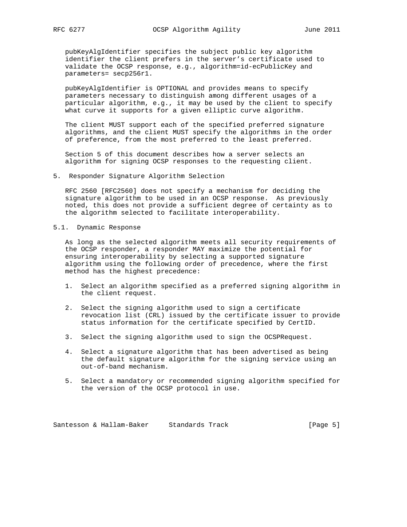pubKeyAlgIdentifier specifies the subject public key algorithm identifier the client prefers in the server's certificate used to validate the OCSP response, e.g., algorithm=id-ecPublicKey and parameters= secp256r1.

 pubKeyAlgIdentifier is OPTIONAL and provides means to specify parameters necessary to distinguish among different usages of a particular algorithm, e.g., it may be used by the client to specify what curve it supports for a given elliptic curve algorithm.

 The client MUST support each of the specified preferred signature algorithms, and the client MUST specify the algorithms in the order of preference, from the most preferred to the least preferred.

 Section 5 of this document describes how a server selects an algorithm for signing OCSP responses to the requesting client.

5. Responder Signature Algorithm Selection

 RFC 2560 [RFC2560] does not specify a mechanism for deciding the signature algorithm to be used in an OCSP response. As previously noted, this does not provide a sufficient degree of certainty as to the algorithm selected to facilitate interoperability.

5.1. Dynamic Response

 As long as the selected algorithm meets all security requirements of the OCSP responder, a responder MAY maximize the potential for ensuring interoperability by selecting a supported signature algorithm using the following order of precedence, where the first method has the highest precedence:

- 1. Select an algorithm specified as a preferred signing algorithm in the client request.
- 2. Select the signing algorithm used to sign a certificate revocation list (CRL) issued by the certificate issuer to provide status information for the certificate specified by CertID.
- 3. Select the signing algorithm used to sign the OCSPRequest.
- 4. Select a signature algorithm that has been advertised as being the default signature algorithm for the signing service using an out-of-band mechanism.
- 5. Select a mandatory or recommended signing algorithm specified for the version of the OCSP protocol in use.

Santesson & Hallam-Baker Standards Track [Page 5]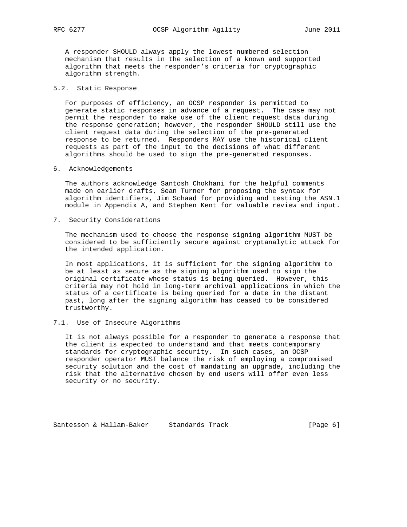A responder SHOULD always apply the lowest-numbered selection mechanism that results in the selection of a known and supported algorithm that meets the responder's criteria for cryptographic algorithm strength.

# 5.2. Static Response

 For purposes of efficiency, an OCSP responder is permitted to generate static responses in advance of a request. The case may not permit the responder to make use of the client request data during the response generation; however, the responder SHOULD still use the client request data during the selection of the pre-generated response to be returned. Responders MAY use the historical client requests as part of the input to the decisions of what different algorithms should be used to sign the pre-generated responses.

### 6. Acknowledgements

 The authors acknowledge Santosh Chokhani for the helpful comments made on earlier drafts, Sean Turner for proposing the syntax for algorithm identifiers, Jim Schaad for providing and testing the ASN.1 module in Appendix A, and Stephen Kent for valuable review and input.

7. Security Considerations

 The mechanism used to choose the response signing algorithm MUST be considered to be sufficiently secure against cryptanalytic attack for the intended application.

 In most applications, it is sufficient for the signing algorithm to be at least as secure as the signing algorithm used to sign the original certificate whose status is being queried. However, this criteria may not hold in long-term archival applications in which the status of a certificate is being queried for a date in the distant past, long after the signing algorithm has ceased to be considered trustworthy.

# 7.1. Use of Insecure Algorithms

 It is not always possible for a responder to generate a response that the client is expected to understand and that meets contemporary standards for cryptographic security. In such cases, an OCSP responder operator MUST balance the risk of employing a compromised security solution and the cost of mandating an upgrade, including the risk that the alternative chosen by end users will offer even less security or no security.

Santesson & Hallam-Baker Standards Track [Page 6]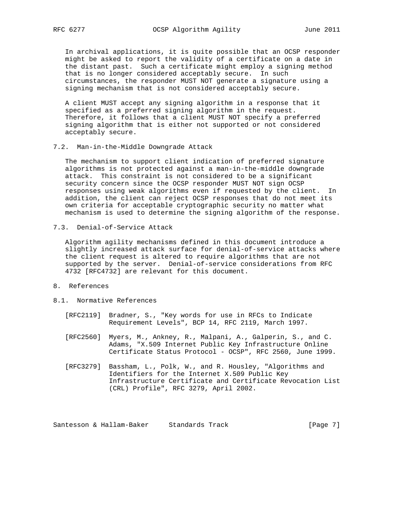In archival applications, it is quite possible that an OCSP responder might be asked to report the validity of a certificate on a date in the distant past. Such a certificate might employ a signing method that is no longer considered acceptably secure. In such circumstances, the responder MUST NOT generate a signature using a signing mechanism that is not considered acceptably secure.

 A client MUST accept any signing algorithm in a response that it specified as a preferred signing algorithm in the request. Therefore, it follows that a client MUST NOT specify a preferred signing algorithm that is either not supported or not considered acceptably secure.

7.2. Man-in-the-Middle Downgrade Attack

 The mechanism to support client indication of preferred signature algorithms is not protected against a man-in-the-middle downgrade attack. This constraint is not considered to be a significant security concern since the OCSP responder MUST NOT sign OCSP responses using weak algorithms even if requested by the client. In addition, the client can reject OCSP responses that do not meet its own criteria for acceptable cryptographic security no matter what mechanism is used to determine the signing algorithm of the response.

7.3. Denial-of-Service Attack

 Algorithm agility mechanisms defined in this document introduce a slightly increased attack surface for denial-of-service attacks where the client request is altered to require algorithms that are not supported by the server. Denial-of-service considerations from RFC 4732 [RFC4732] are relevant for this document.

- 8. References
- 8.1. Normative References
	- [RFC2119] Bradner, S., "Key words for use in RFCs to Indicate Requirement Levels", BCP 14, RFC 2119, March 1997.
	- [RFC2560] Myers, M., Ankney, R., Malpani, A., Galperin, S., and C. Adams, "X.509 Internet Public Key Infrastructure Online Certificate Status Protocol - OCSP", RFC 2560, June 1999.
	- [RFC3279] Bassham, L., Polk, W., and R. Housley, "Algorithms and Identifiers for the Internet X.509 Public Key Infrastructure Certificate and Certificate Revocation List (CRL) Profile", RFC 3279, April 2002.

Santesson & Hallam-Baker Standards Track [Page 7]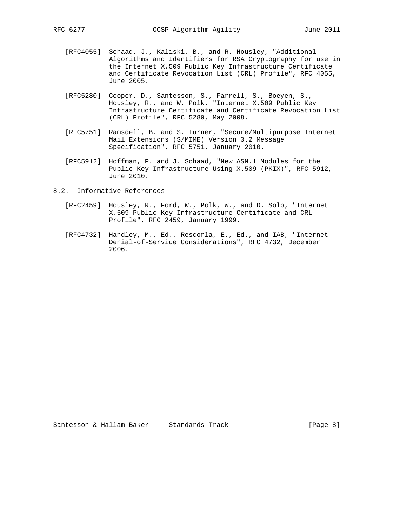- [RFC4055] Schaad, J., Kaliski, B., and R. Housley, "Additional Algorithms and Identifiers for RSA Cryptography for use in the Internet X.509 Public Key Infrastructure Certificate and Certificate Revocation List (CRL) Profile", RFC 4055, June 2005.
- [RFC5280] Cooper, D., Santesson, S., Farrell, S., Boeyen, S., Housley, R., and W. Polk, "Internet X.509 Public Key Infrastructure Certificate and Certificate Revocation List (CRL) Profile", RFC 5280, May 2008.
- [RFC5751] Ramsdell, B. and S. Turner, "Secure/Multipurpose Internet Mail Extensions (S/MIME) Version 3.2 Message Specification", RFC 5751, January 2010.
- [RFC5912] Hoffman, P. and J. Schaad, "New ASN.1 Modules for the Public Key Infrastructure Using X.509 (PKIX)", RFC 5912, June 2010.
- 8.2. Informative References
	- [RFC2459] Housley, R., Ford, W., Polk, W., and D. Solo, "Internet X.509 Public Key Infrastructure Certificate and CRL Profile", RFC 2459, January 1999.
	- [RFC4732] Handley, M., Ed., Rescorla, E., Ed., and IAB, "Internet Denial-of-Service Considerations", RFC 4732, December 2006.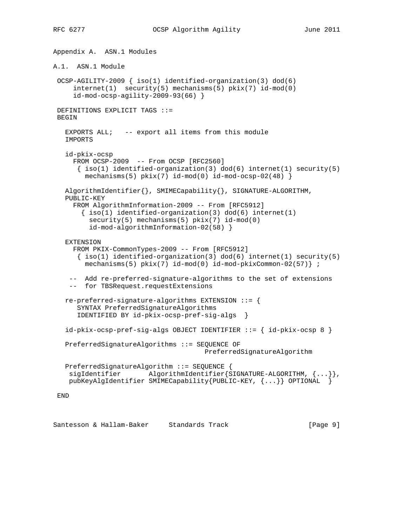Appendix A. ASN.1 Modules A.1. ASN.1 Module OCSP-AGILITY-2009 { iso(1) identified-organization(3) dod(6) internet(1) security(5) mechanisms(5) pkix(7) id-mod(0) id-mod-ocsp-agility-2009-93(66) } DEFINITIONS EXPLICIT TAGS ::= BEGIN EXPORTS ALL; -- export all items from this module IMPORTS id-pkix-ocsp FROM OCSP-2009 -- From OCSP [RFC2560]  $\{ iso(1) identified-organization(3) dod(6) internet(1) security(5)$  $mechanisms(5) pkix(7) id-mod(0) id-mod-ocsp-02(48)$  AlgorithmIdentifier{}, SMIMECapability{}, SIGNATURE-ALGORITHM, PUBLIC-KEY FROM AlgorithmInformation-2009 -- From [RFC5912]  $\{ iso(1)$  identified-organization(3) dod(6) internet(1) security(5) mechanisms(5) pkix(7) id-mod(0) id-mod-algorithmInformation-02(58) } EXTENSION FROM PKIX-CommonTypes-2009 -- From [RFC5912]  $\{ iso(1) identified-organization(3) dod(6) internet(1) security(5)$  mechanisms(5) pkix(7) id-mod(0) id-mod-pkixCommon-02(57)} ; -- Add re-preferred-signature-algorithms to the set of extensions -- for TBSRequest.requestExtensions re-preferred-signature-algorithms EXTENSION ::= { SYNTAX PreferredSignatureAlgorithms IDENTIFIED BY id-pkix-ocsp-pref-sig-algs } id-pkix-ocsp-pref-sig-algs OBJECT IDENTIFIER ::= { id-pkix-ocsp 8 } PreferredSignatureAlgorithms ::= SEQUENCE OF PreferredSignatureAlgorithm PreferredSignatureAlgorithm ::= SEQUENCE { sigIdentifier AlgorithmIdentifier{SIGNATURE-ALGORITHM, {...}}, pubKeyAlgIdentifier SMIMECapability{PUBLIC-KEY, {...}} OPTIONAL } END

Santesson & Hallam-Baker Standards Track [Page 9]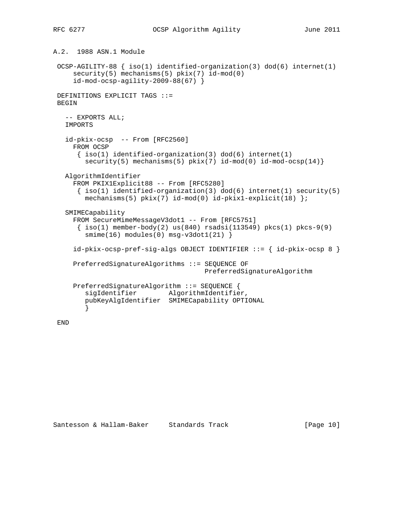```
A.2. 1988 ASN.1 Module
 OCSP-AGILITY-88 { iso(1) identified-organization(3) dod(6) internet(1)
     security(5) mechanisms(5) pkix(7) id-mod(0)
     id-mod-ocsp-agility-2009-88(67) }
 DEFINITIONS EXPLICIT TAGS ::=
 BEGIN
  -- EXPORTS ALL;
   IMPORTS
   id-pkix-ocsp -- From [RFC2560]
     FROM OCSP
     \{ iso(1) <i>identified-organization(3) <math> dod(6) <i>internet(1)</i>security(5) mechanisms(5) pkix(7) id-mod(0) id-mod-ocsp(14)}
  AlgorithmIdentifier
     FROM PKIX1Explicit88 -- From [RFC5280]
     \{ iso(1) identified-organization(3) dod(6) internet(1) security(5)
       mechanisms(5) pkix(7) id-mod(0) id-pkix1-explicit(18) ;
   SMIMECapability
    FROM SecureMimeMessageV3dot1 -- From [RFC5751]
      { iso(1) member-body(2) us(840) rsadsi(113549) pkcs(1) pkcs-9(9)
       smin(e(16) modules(0) msg-v3dot1(21) }
     id-pkix-ocsp-pref-sig-algs OBJECT IDENTIFIER ::= { id-pkix-ocsp 8 }
     PreferredSignatureAlgorithms ::= SEQUENCE OF
                                      PreferredSignatureAlgorithm
     PreferredSignatureAlgorithm ::= SEQUENCE {
       sigIdentifier AlgorithmIdentifier,
        pubKeyAlgIdentifier SMIMECapability OPTIONAL
}
```
END